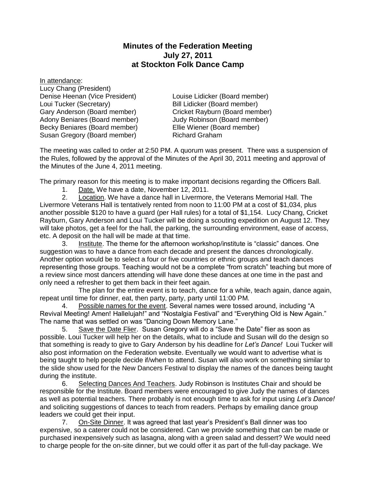## **Minutes of the Federation Meeting July 27, 2011 at Stockton Folk Dance Camp**

In attendance: Lucy Chang (President) Denise Heenan (Vice President) Louise Lidicker (Board member) Loui Tucker (Secretary) Bill Lidicker (Board member) Gary Anderson (Board member) Cricket Rayburn (Board member) Adony Beniares (Board member) Judy Robinson (Board member) Becky Beniares (Board member) Ellie Wiener (Board member) Susan Gregory (Board member) Richard Graham

The meeting was called to order at 2:50 PM. A quorum was present. There was a suspension of the Rules, followed by the approval of the Minutes of the April 30, 2011 meeting and approval of the Minutes of the June 4, 2011 meeting.

The primary reason for this meeting is to make important decisions regarding the Officers Ball.

1. Date. We have a date, November 12, 2011.

2. Location. We have a dance hall in Livermore, the Veterans Memorial Hall. The Livermore Veterans Hall is tentatively rented from noon to 11:00 PM at a cost of \$1,034, plus another possible \$120 to have a guard (per Hall rules) for a total of \$1,154. Lucy Chang, Cricket Rayburn, Gary Anderson and Loui Tucker will be doing a scouting expedition on August 12. They will take photos, get a feel for the hall, the parking, the surrounding environment, ease of access, etc. A deposit on the hall will be made at that time.

3. Institute. The theme for the afternoon workshop/institute is "classic" dances. One suggestion was to have a dance from each decade and present the dances chronologically. Another option would be to select a four or five countries or ethnic groups and teach dances representing those groups. Teaching would not be a complete "from scratch" teaching but more of a review since most dancers attending will have done these dances at one time in the past and only need a refresher to get them back in their feet again.

The plan for the entire event is to teach, dance for a while, teach again, dance again, repeat until time for dinner, eat, then party, party, party until 11:00 PM.

4. Possible names for the event. Several names were tossed around, including "A Revival Meeting! Amen! Hallelujah!" and "Nostalgia Festival" and "Everything Old is New Again." The name that was settled on was "Dancing Down Memory Lane."

5. Save the Date Flier. Susan Gregory will do a "Save the Date" flier as soon as possible. Loui Tucker will help her on the details, what to include and Susan will do the design so that something is ready to give to Gary Anderson by his deadline for *Let's Dance!* Loui Tucker will also post information on the Federation website. Eventually we would want to advertise what is being taught to help people decide if/when to attend. Susan will also work on something similar to the slide show used for the New Dancers Festival to display the names of the dances being taught during the institute.

6. Selecting Dances And Teachers. Judy Robinson is Institutes Chair and should be responsible for the Institute. Board members were encouraged to give Judy the names of dances as well as potential teachers. There probably is not enough time to ask for input using *Let's Dance!*  and soliciting suggestions of dances to teach from readers. Perhaps by emailing dance group leaders we could get their input.

7. On-Site Dinner. It was agreed that last year's President's Ball dinner was too expensive, so a caterer could not be considered. Can we provide something that can be made or purchased inexpensively such as lasagna, along with a green salad and dessert? We would need to charge people for the on-site dinner, but we could offer it as part of the full-day package. We